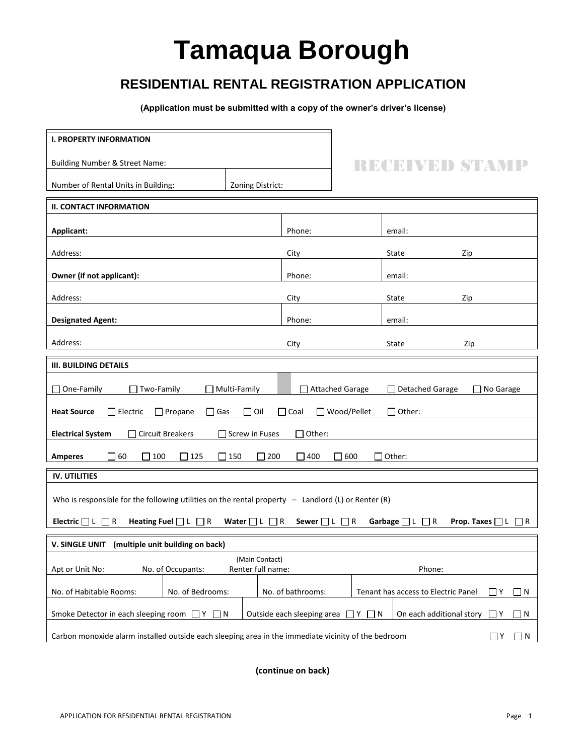## **Tamaqua Borough**

## **RESIDENTIAL RENTAL REGISTRATION APPLICATION**

**(Application must be submitted with a copy of the owner's driver's license)**

| <b>I. PROPERTY INFORMATION</b>                                                                                                                                                    |                  |                   |  |                                     |                        |  |
|-----------------------------------------------------------------------------------------------------------------------------------------------------------------------------------|------------------|-------------------|--|-------------------------------------|------------------------|--|
| <b>Building Number &amp; Street Name:</b>                                                                                                                                         |                  |                   |  |                                     | RECEIVED STAWF         |  |
| Number of Rental Units in Building:                                                                                                                                               | Zoning District: |                   |  |                                     |                        |  |
| <b>II. CONTACT INFORMATION</b>                                                                                                                                                    |                  |                   |  |                                     |                        |  |
| Applicant:                                                                                                                                                                        |                  | Phone:            |  | email:                              |                        |  |
| Address:                                                                                                                                                                          |                  | City              |  | State                               | Zip                    |  |
| Owner (if not applicant):                                                                                                                                                         |                  | Phone:            |  | email:                              |                        |  |
| Address:                                                                                                                                                                          |                  | City              |  | State<br>Zip                        |                        |  |
| <b>Designated Agent:</b>                                                                                                                                                          |                  | Phone:            |  | email:                              |                        |  |
| Address:                                                                                                                                                                          |                  | City              |  | State                               | Zip                    |  |
| <b>III. BUILDING DETAILS</b>                                                                                                                                                      |                  |                   |  |                                     |                        |  |
| Two-Family<br>Attached Garage<br>Detached Garage<br>One-Family<br>Multi-Family<br>□ No Garage                                                                                     |                  |                   |  |                                     |                        |  |
| $\Box$ Propane<br>$\Box$ Gas<br>$\Box$ Oil<br>$\Box$ Coal<br>Wood/Pellet<br>$\Box$ Other:<br><b>Heat Source</b><br>$\Box$ Electric<br>П                                           |                  |                   |  |                                     |                        |  |
| <b>Electrical System</b><br><b>Circuit Breakers</b><br>Screw in Fuses<br>Other:                                                                                                   |                  |                   |  |                                     |                        |  |
| $\square$ 60<br>$\Box$ 100<br>$\Box$ 125<br>$\square$ 150<br>200<br>$\square$ 400<br>600<br>$\Box$ Other:<br><b>Amperes</b>                                                       |                  |                   |  |                                     |                        |  |
| <b>IV. UTILITIES</b>                                                                                                                                                              |                  |                   |  |                                     |                        |  |
| Who is responsible for the following utilities on the rental property $-$ Landlord (L) or Renter (R)                                                                              |                  |                   |  |                                     |                        |  |
| Heating Fuel $\Box$ L $\Box$ R Water $\Box$ L $\Box$ R Sewer $\Box$ L $\Box$ R<br>Electric $\Box$ L $\Box$ R<br>Garbage $\Box$ L $\Box$ R<br><b>Prop. Taxes</b> $\Box$ L $\Box$ R |                  |                   |  |                                     |                        |  |
| V. SINGLE UNIT (multiple unit building on back)                                                                                                                                   |                  |                   |  |                                     |                        |  |
| (Main Contact)<br>No. of Occupants:<br>Renter full name:<br>Phone:<br>Apt or Unit No:                                                                                             |                  |                   |  |                                     |                        |  |
| No. of Habitable Rooms:<br>No. of Bedrooms:                                                                                                                                       |                  | No. of bathrooms: |  | Tenant has access to Electric Panel | $\sqcap$ Y<br>$\Box$ N |  |
| Smoke Detector in each sleeping room<br>Outside each sleeping area<br>On each additional story<br>ת ⊡ ץ [<br>$ Y $ $ N $<br>IY.<br>$\Box$ N                                       |                  |                   |  |                                     |                        |  |
| Carbon monoxide alarm installed outside each sleeping area in the immediate vicinity of the bedroom<br>$\Box$ Y<br>$\Box$ N                                                       |                  |                   |  |                                     |                        |  |

**(continue on back)**